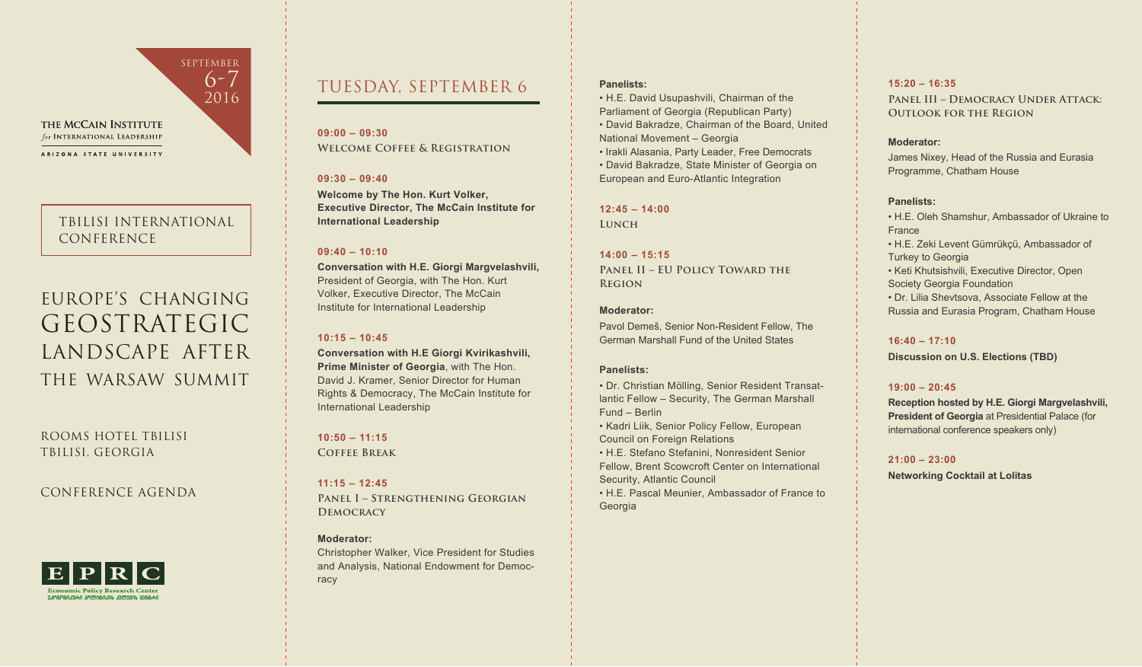

for INTERNATIONAL LEADERSHIP

ARIZONA STATE UNIVERSITY

### TBILISI INTERNATIONAL CONFERENCE

# EUROPE'S CHANGING GEOSTRATEGIC LANDSCAPE AFTER THE WARSAW SUMMIT

ROOMS HOTEL TBILISI TBILISI, GEORGIA

### CONFERENCE AGENDA



## TUESDAY, SEPTEMBER 6

### **09:00 – 09:30 Welcome Coffee & Registration**

### **09:30 – 09:40**

**Welcome by The Hon. Kurt Volker, Executive Director, The McCain Institute for International Leadership** 

### **09:40 – 10:10**

**Conversation with H.E. Giorgi Margvelashvili,** President of Georgia, with The Hon. Kurt Volker, Executive Director, The McCain Institute for International Leadership

### **10:15 – 10:45**

**Conversation with H.E Giorgi Kvirikashvili, Prime Minister of Georgia**, with The Hon. David J. Kramer, Senior Director for Human Rights & Democracy, The McCain Institute for International Leadership

### **10:50 – 11:15**

**Coffee Break** 

**11:15 – 12:45**

**Panel I – Strengthening Georgian Democracy**

### **Moderator:**

Christopher Walker, Vice President for Studies and Analysis, National Endowment for Democracy

### **Panelists:**

• H.E. David Usupashvili, Chairman of the Parliament of Georgia (Republican Party) • David Bakradze, Chairman of the Board, United National Movement – Georgia

• Irakli Alasania, Party Leader, Free Democrats • David Bakradze, State Minister of Georgia on European and Euro-Atlantic Integration

## **12:45 – 14:00**

**Lunch**

### **14:00 – 15:15**

**Panel II – EU Policy Toward the Region**

### **Moderator:**

Pavol Demeš, Senior Non-Resident Fellow, The German Marshall Fund of the United States

### **Panelists:**

• Dr. Christian Mölling, Senior Resident Transatlantic Fellow – Security, The German Marshall Fund – Berlin

• Kadri Liik, Senior Policy Fellow, European Council on Foreign Relations

• H.E. Stefano Stefanini, Nonresident Senior Fellow, Brent Scowcroft Center on International Security, Atlantic Council

• H.E. Pascal Meunier, Ambassador of France to Georgia

### **15:20 – 16:35**

**PANEL III – DEMOCRACY UNDER ATTACK: OUTLOOK FOR THE REGION** 

### **Moderator:**

James Nixey, Head of the Russia and Eurasia Programme, Chatham House

### **Panelists:**

• H.E. Oleh Shamshur, Ambassador of Ukraine to France • H.E. Zeki Levent Gümrükçü, Ambassador of Turkey to Georgia • Keti Khutsishvili, Executive Director, Open Society Georgia Foundation • Dr. Lilia Shevtsova, Associate Fellow at the Russia and Eurasia Program, Chatham House

### **16:40 – 17:10**

**Discussion on U.S. Elections (TBD)** 

### **19:00 – 20:45**

**Reception hosted by H.E. Giorgi Margvelashvili, President of Georgia** at Presidential Palace (for international conference speakers only)

### **21:00 – 23:00**

**Networking Cocktail at Lolitas**